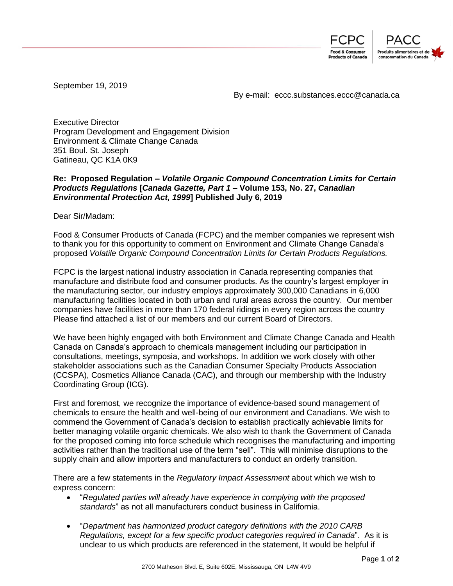

September 19, 2019

By e-mail: eccc.substances.eccc@canada.ca

Executive Director Program Development and Engagement Division Environment & Climate Change Canada 351 Boul. St. Joseph Gatineau, QC K1A 0K9

## **Re: Proposed Regulation –** *Volatile Organic Compound Concentration Limits for Certain Products Regulations* **[***Canada Gazette, Part 1* **– Volume 153, No. 27,** *Canadian Environmental Protection Act, 1999***] Published July 6, 2019**

Dear Sir/Madam:

Food & Consumer Products of Canada (FCPC) and the member companies we represent wish to thank you for this opportunity to comment on Environment and Climate Change Canada's proposed *Volatile Organic Compound Concentration Limits for Certain Products Regulations.*

FCPC is the largest national industry association in Canada representing companies that manufacture and distribute food and consumer products. As the country's largest employer in the manufacturing sector, our industry employs approximately 300,000 Canadians in 6,000 manufacturing facilities located in both urban and rural areas across the country. Our member companies have facilities in more than 170 federal ridings in every region across the country Please find attached a list of our members and our current Board of Directors.

We have been highly engaged with both Environment and Climate Change Canada and Health Canada on Canada's approach to chemicals management including our participation in consultations, meetings, symposia, and workshops. In addition we work closely with other stakeholder associations such as the Canadian Consumer Specialty Products Association (CCSPA), Cosmetics Alliance Canada (CAC), and through our membership with the Industry Coordinating Group (ICG).

First and foremost, we recognize the importance of evidence-based sound management of chemicals to ensure the health and well-being of our environment and Canadians. We wish to commend the Government of Canada's decision to establish practically achievable limits for better managing volatile organic chemicals. We also wish to thank the Government of Canada for the proposed coming into force schedule which recognises the manufacturing and importing activities rather than the traditional use of the term "sell". This will minimise disruptions to the supply chain and allow importers and manufacturers to conduct an orderly transition.

There are a few statements in the *Regulatory Impact Assessment* about which we wish to express concern:

- "*Regulated parties will already have experience in complying with the proposed standards*" as not all manufacturers conduct business in California.
- "*Department has harmonized product category definitions with the 2010 CARB Regulations, except for a few specific product categories required in Canada*". As it is unclear to us which products are referenced in the statement, It would be helpful if